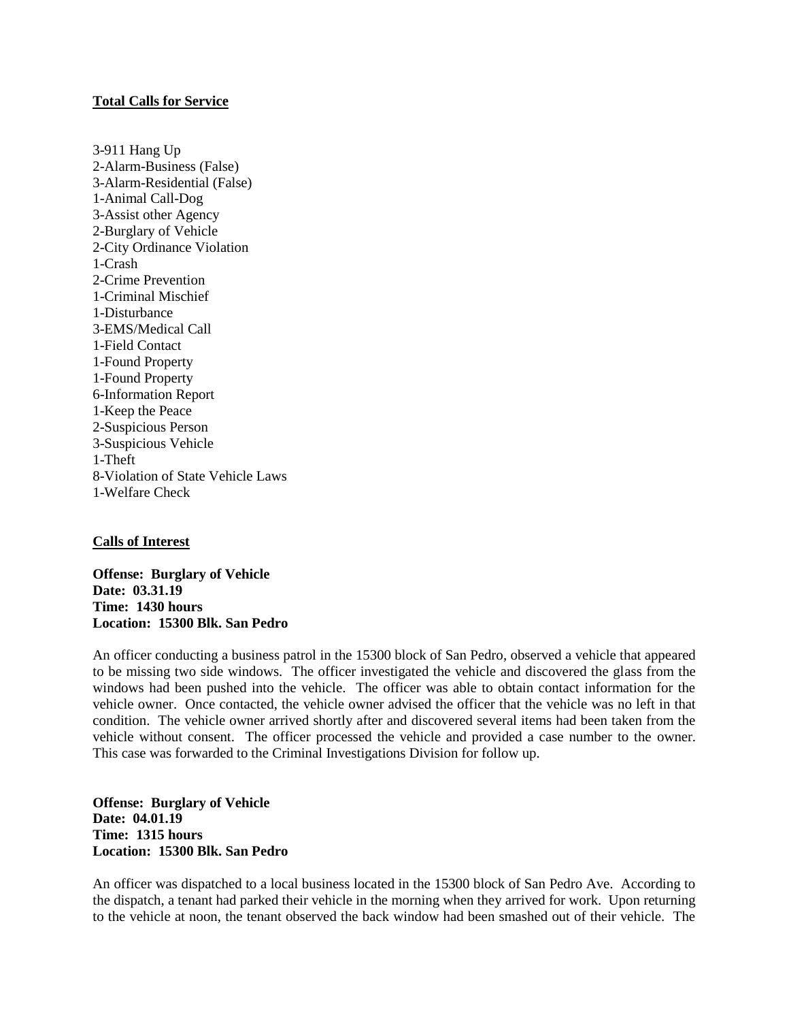## **Total Calls for Service**

3-911 Hang Up 2-Alarm-Business (False) 3-Alarm-Residential (False) 1-Animal Call-Dog 3-Assist other Agency 2-Burglary of Vehicle 2-City Ordinance Violation 1-Crash 2-Crime Prevention 1-Criminal Mischief 1-Disturbance 3-EMS/Medical Call 1-Field Contact 1-Found Property 1-Found Property 6-Information Report 1-Keep the Peace 2-Suspicious Person 3-Suspicious Vehicle 1-Theft 8-Violation of State Vehicle Laws 1-Welfare Check

## **Calls of Interest**

**Offense: Burglary of Vehicle Date: 03.31.19 Time: 1430 hours Location: 15300 Blk. San Pedro**

An officer conducting a business patrol in the 15300 block of San Pedro, observed a vehicle that appeared to be missing two side windows. The officer investigated the vehicle and discovered the glass from the windows had been pushed into the vehicle. The officer was able to obtain contact information for the vehicle owner. Once contacted, the vehicle owner advised the officer that the vehicle was no left in that condition. The vehicle owner arrived shortly after and discovered several items had been taken from the vehicle without consent. The officer processed the vehicle and provided a case number to the owner. This case was forwarded to the Criminal Investigations Division for follow up.

**Offense: Burglary of Vehicle Date: 04.01.19 Time: 1315 hours Location: 15300 Blk. San Pedro**

An officer was dispatched to a local business located in the 15300 block of San Pedro Ave. According to the dispatch, a tenant had parked their vehicle in the morning when they arrived for work. Upon returning to the vehicle at noon, the tenant observed the back window had been smashed out of their vehicle. The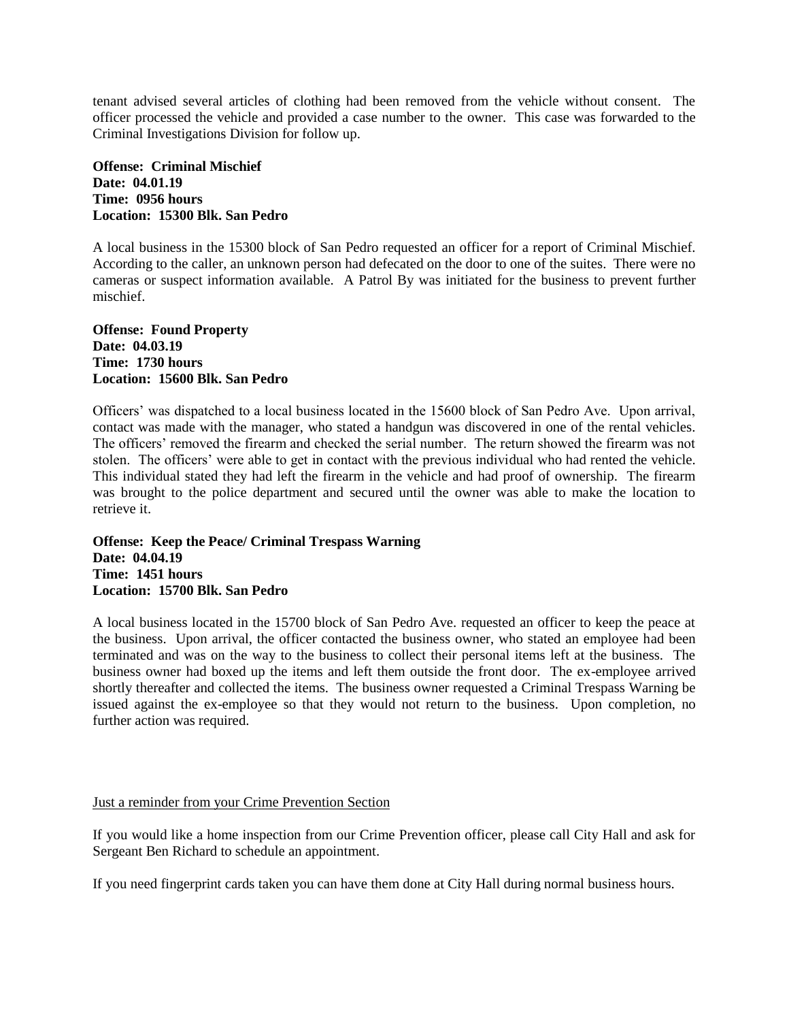tenant advised several articles of clothing had been removed from the vehicle without consent. The officer processed the vehicle and provided a case number to the owner. This case was forwarded to the Criminal Investigations Division for follow up.

**Offense: Criminal Mischief Date: 04.01.19 Time: 0956 hours Location: 15300 Blk. San Pedro**

A local business in the 15300 block of San Pedro requested an officer for a report of Criminal Mischief. According to the caller, an unknown person had defecated on the door to one of the suites. There were no cameras or suspect information available. A Patrol By was initiated for the business to prevent further mischief.

**Offense: Found Property Date: 04.03.19 Time: 1730 hours Location: 15600 Blk. San Pedro**

Officers' was dispatched to a local business located in the 15600 block of San Pedro Ave. Upon arrival, contact was made with the manager, who stated a handgun was discovered in one of the rental vehicles. The officers' removed the firearm and checked the serial number. The return showed the firearm was not stolen. The officers' were able to get in contact with the previous individual who had rented the vehicle. This individual stated they had left the firearm in the vehicle and had proof of ownership. The firearm was brought to the police department and secured until the owner was able to make the location to retrieve it.

**Offense: Keep the Peace/ Criminal Trespass Warning Date: 04.04.19 Time: 1451 hours Location: 15700 Blk. San Pedro**

A local business located in the 15700 block of San Pedro Ave. requested an officer to keep the peace at the business. Upon arrival, the officer contacted the business owner, who stated an employee had been terminated and was on the way to the business to collect their personal items left at the business. The business owner had boxed up the items and left them outside the front door. The ex-employee arrived shortly thereafter and collected the items. The business owner requested a Criminal Trespass Warning be issued against the ex-employee so that they would not return to the business. Upon completion, no further action was required.

## Just a reminder from your Crime Prevention Section

If you would like a home inspection from our Crime Prevention officer, please call City Hall and ask for Sergeant Ben Richard to schedule an appointment.

If you need fingerprint cards taken you can have them done at City Hall during normal business hours.